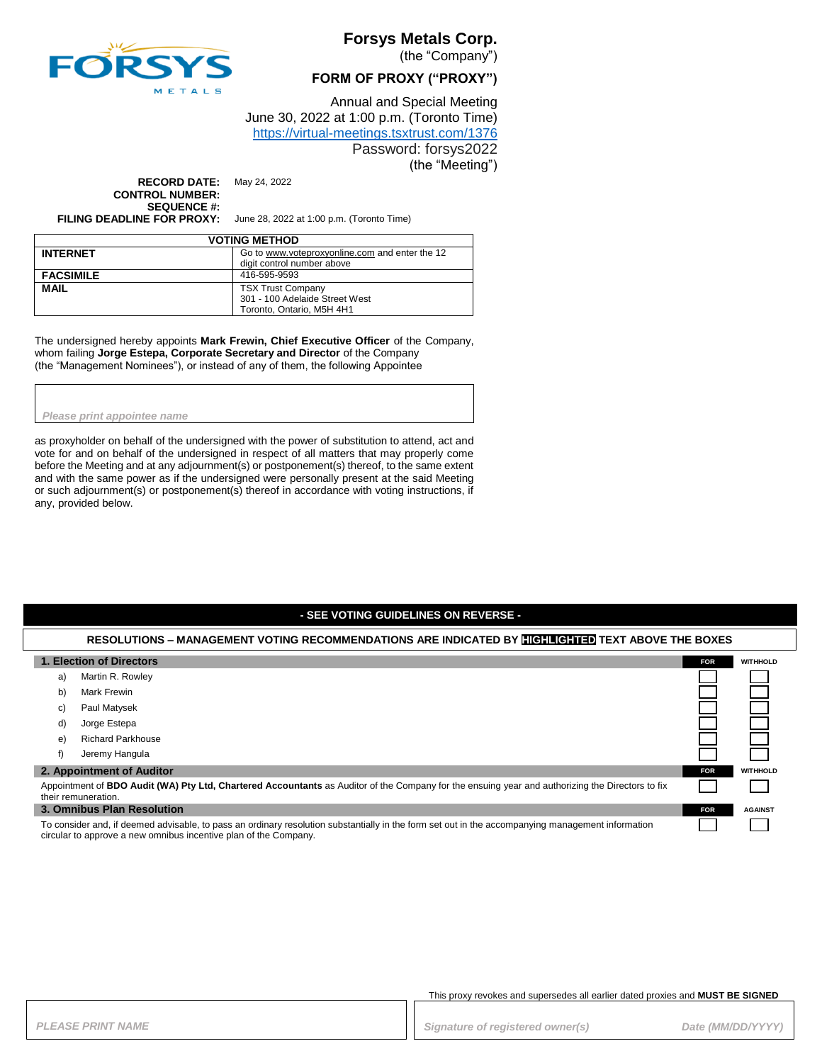

# **Forsys Metals Corp.**

(the "Company")

### **FORM OF PROXY ("PROXY")**

Annual and Special Meeting June 30, 2022 at 1:00 p.m. (Toronto Time) <https://virtual-meetings.tsxtrust.com/1376>

Password: forsys2022 (the "Meeting")

**RECORD DATE:** May 24, 2022 **CONTROL NUMBER: SEQUENCE #:**

**FILING DEADLINE FOR PROXY:** June 28, 2022 at 1:00 p.m. (Toronto Time)

| <b>VOTING METHOD</b> |                                                |  |
|----------------------|------------------------------------------------|--|
| <b>INTERNET</b>      | Go to www.voteproxvonline.com and enter the 12 |  |
|                      | digit control number above                     |  |
| <b>FACSIMILE</b>     | 416-595-9593                                   |  |
| <b>MAIL</b>          | <b>TSX Trust Company</b>                       |  |
|                      | 301 - 100 Adelaide Street West                 |  |
|                      | Toronto, Ontario, M5H 4H1                      |  |

The undersigned hereby appoints **Mark Frewin, Chief Executive Officer** of the Company, whom failing **Jorge Estepa, Corporate Secretary and Director** of the Company (the "Management Nominees"), or instead of any of them, the following Appointee

#### *Please print appointee name*

as proxyholder on behalf of the undersigned with the power of substitution to attend, act and vote for and on behalf of the undersigned in respect of all matters that may properly come before the Meeting and at any adjournment(s) or postponement(s) thereof, to the same extent and with the same power as if the undersigned were personally present at the said Meeting or such adjournment(s) or postponement(s) thereof in accordance with voting instructions, if any, provided below.

### **- SEE VOTING GUIDELINES ON REVERSE -**

### **RESOLUTIONS – MANAGEMENT VOTING RECOMMENDATIONS ARE INDICATED BY HIGHLIGHTED TEXT ABOVE THE BOXES**

| 1. Election of Directors                                                                                                                                                                                              |                            | <b>FOR</b> | <b>WITHHOLD</b> |
|-----------------------------------------------------------------------------------------------------------------------------------------------------------------------------------------------------------------------|----------------------------|------------|-----------------|
| a)                                                                                                                                                                                                                    | Martin R. Rowley           |            |                 |
| b)                                                                                                                                                                                                                    | Mark Frewin                |            |                 |
| C)                                                                                                                                                                                                                    | Paul Matysek               |            |                 |
| d)                                                                                                                                                                                                                    | Jorge Estepa               |            |                 |
| e)                                                                                                                                                                                                                    | <b>Richard Parkhouse</b>   |            |                 |
| f)                                                                                                                                                                                                                    | Jeremy Hangula             |            |                 |
|                                                                                                                                                                                                                       | 2. Appointment of Auditor  | <b>FOR</b> | <b>WITHHOLD</b> |
| Appointment of <b>BDO Audit (WA) Pty Ltd, Chartered Accountants</b> as Auditor of the Company for the ensuing year and authorizing the Directors to fix<br>their remuneration.                                        |                            |            |                 |
|                                                                                                                                                                                                                       | 3. Omnibus Plan Resolution | <b>FOR</b> | <b>AGAINST</b>  |
| To consider and, if deemed advisable, to pass an ordinary resolution substantially in the form set out in the accompanying management information<br>circular to approve a new omnibus incentive plan of the Company. |                            |            |                 |

#### This proxy revokes and supersedes all earlier dated proxies and **MUST BE SIGNED**